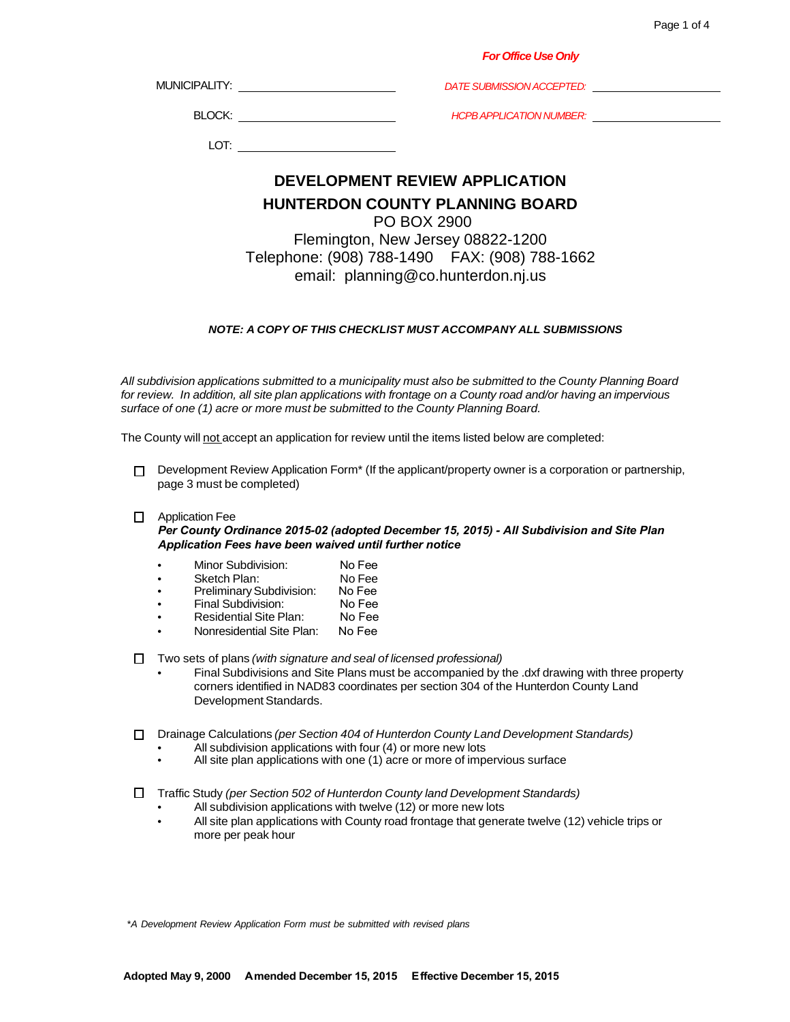|                                                              | <b>For Office Use Only</b>                                                             |  |  |  |
|--------------------------------------------------------------|----------------------------------------------------------------------------------------|--|--|--|
|                                                              | MUNICIPALITY: ___________________________<br>DATE SUBMISSION ACCEPTED: DATE SUBMISSION |  |  |  |
|                                                              | HCPB APPLICATION NUMBER: University Processors                                         |  |  |  |
|                                                              |                                                                                        |  |  |  |
|                                                              | DEVELOPMENT REVIEW APPLICATION                                                         |  |  |  |
| <b>HUNTERDON COUNTY PLANNING BOARD</b><br><b>PO BOX 2900</b> |                                                                                        |  |  |  |
|                                                              |                                                                                        |  |  |  |

Flemington, New Jersey 08822-1200 Telephone: (908) 788-1490 FAX: (908) 788-1662 email: [planning@co.hunterdon.nj.us](mailto:planning@co.hunterdon.nj.us)

### *NOTE: A COPY OF THIS CHECKLIST MUST ACCOMPANY ALL SUBMISSIONS*

*All subdivision applications submitted to a municipality must also be submitted to the County Planning Board for review. In addition, all site plan applications with frontage on a County road and/or having an impervious surface of one (1) acre or more must be submitted to the County Planning Board.*

The County will not accept an application for review until the items listed below are completed:

 $\Box$  Development Review Application Form<sup>\*</sup> (If the applicant/property owner is a corporation or partnership, page 3 must be completed)

### Application Fee

*Per County Ordinance 2015-02 (adopted December 15, 2015) - All Subdivision and Site Plan Application Fees have been waived until further notice*

- Minor Subdivision: No Fee
- Sketch Plan: No Fee
- PreliminarySubdivision: No Fee
- Final Subdivision: No Fee
- Residential Site Plan: No Fee
- Nonresidential Site Plan: No Fee

Two sets of plans *(with signature and seal of licensed professional)*

- Final Subdivisions and Site Plans must be accompanied by the .dxf drawing with three property corners identified in NAD83 coordinates per section 304 of the Hunterdon County Land Development Standards.
- Drainage Calculations *(per Section 404 of Hunterdon County Land Development Standards)*
	- All subdivision applications with four (4) or more new lots
	- All site plan applications with one (1) acre or more of impervious surface

Traffic Study *(per Section 502 of Hunterdon County land Development Standards)*

- All subdivision applications with twelve (12) or more new lots
- All site plan applications with County road frontage that generate twelve (12) vehicle trips or more per peak hour

\**A Development Review Application Form must be submitted with revised plans*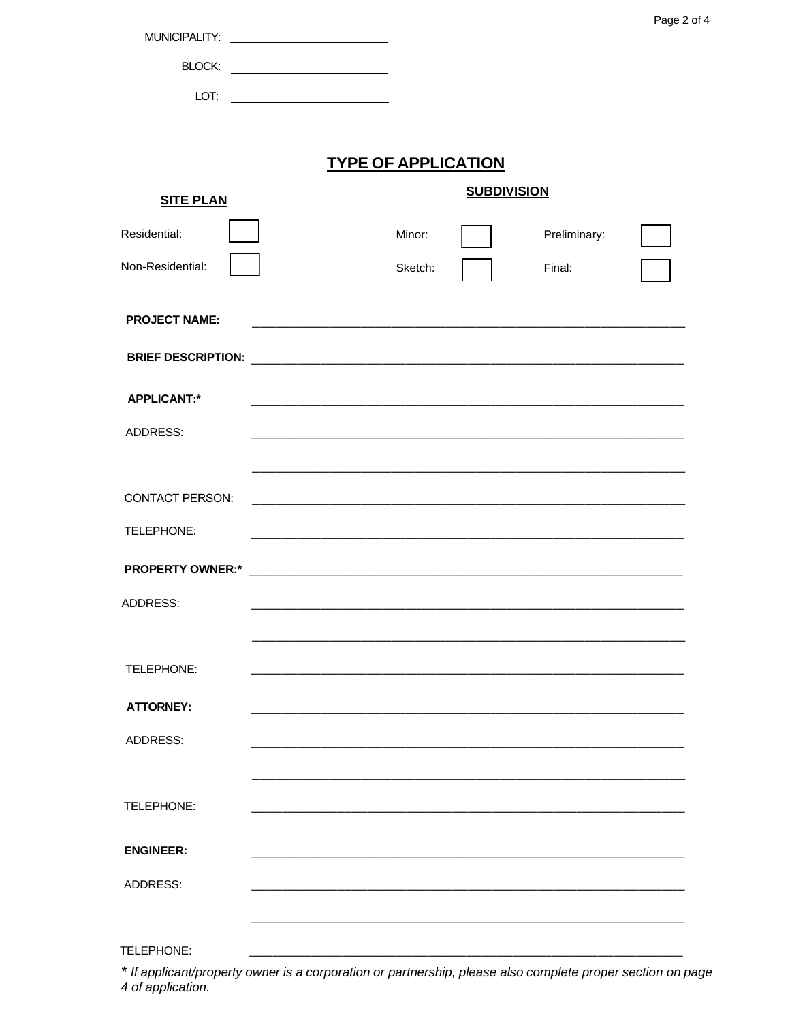|                         | MUNICIPALITY: _________________________________                                                                      |         |                    |              | Page 2 of 4 |
|-------------------------|----------------------------------------------------------------------------------------------------------------------|---------|--------------------|--------------|-------------|
|                         |                                                                                                                      |         |                    |              |             |
|                         |                                                                                                                      |         |                    |              |             |
| LOT:                    |                                                                                                                      |         |                    |              |             |
|                         |                                                                                                                      |         |                    |              |             |
|                         | <b>TYPE OF APPLICATION</b>                                                                                           |         |                    |              |             |
| <b>SITE PLAN</b>        |                                                                                                                      |         | <b>SUBDIVISION</b> |              |             |
| Residential:            |                                                                                                                      | Minor:  |                    | Preliminary: |             |
| Non-Residential:        |                                                                                                                      | Sketch: |                    |              |             |
|                         |                                                                                                                      |         |                    | Final:       |             |
| <b>PROJECT NAME:</b>    |                                                                                                                      |         |                    |              |             |
|                         |                                                                                                                      |         |                    |              |             |
|                         |                                                                                                                      |         |                    |              |             |
| <b>APPLICANT:*</b>      |                                                                                                                      |         |                    |              |             |
| ADDRESS:                |                                                                                                                      |         |                    |              |             |
|                         |                                                                                                                      |         |                    |              |             |
| <b>CONTACT PERSON:</b>  | and the control of the control of the control of the control of the control of the control of the control of the     |         |                    |              |             |
| TELEPHONE:              |                                                                                                                      |         |                    |              |             |
| <b>PROPERTY OWNER:*</b> |                                                                                                                      |         |                    |              |             |
|                         | <u> 2000 - Jan James James James James James James James James James James James James James James James James J</u> |         |                    |              |             |
| ADDRESS:                |                                                                                                                      |         |                    |              |             |
|                         |                                                                                                                      |         |                    |              |             |
| TELEPHONE:              |                                                                                                                      |         |                    |              |             |
| <b>ATTORNEY:</b>        |                                                                                                                      |         |                    |              |             |
| ADDRESS:                |                                                                                                                      |         |                    |              |             |
|                         |                                                                                                                      |         |                    |              |             |
|                         |                                                                                                                      |         |                    |              |             |
| TELEPHONE:              |                                                                                                                      |         |                    |              |             |
| <b>ENGINEER:</b>        |                                                                                                                      |         |                    |              |             |
| ADDRESS:                |                                                                                                                      |         |                    |              |             |
|                         |                                                                                                                      |         |                    |              |             |
|                         |                                                                                                                      |         |                    |              |             |

\* If applicant/property owner is a corporation or partnership, please also complete proper section on page<br>4 of application.

TELEPHONE: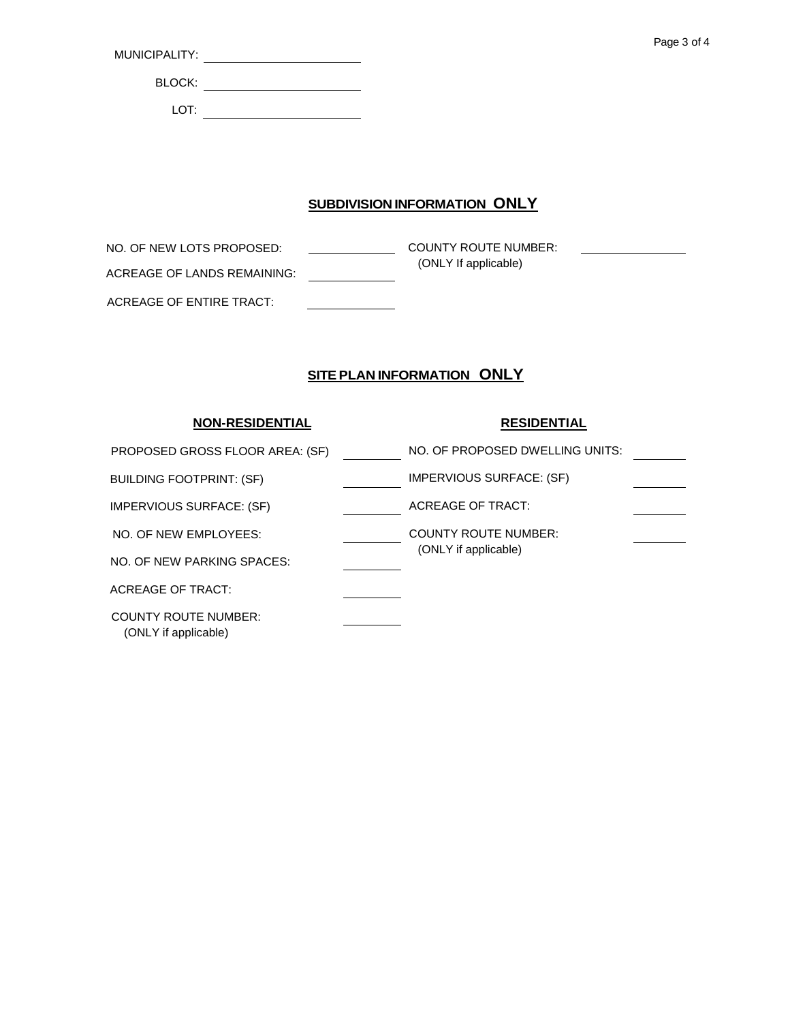| MUNICIPALITY: |
|---------------|
|---------------|

BLOCK: <u>\_\_\_\_\_\_\_\_\_\_\_\_\_\_\_\_\_\_\_\_\_\_\_\_\_\_</u>

LOT:

# **SUBDIVISION INFORMATION ONLY**

**COUNTY ROUTE NUMBER:**  (ONLY If applicable) NO. OF NEW LOTS PROPOSED: ACREAGE OF LANDS REMAINING: ACREAGE OF ENTIRE TRACT:

## **SITE PLAN INFORMATION ONLY**

## **RESIDENTIAL** NO. OF PROPOSED DWELLING UNITS: PROPOSED GROSS FLOOR AREA: (SF) IMPERVIOUS SURFACE: (SF) ACREAGE OF TRACT: COUNTY ROUTE NUMBER: (ONLY if applicable) **NON-RESIDENTIAL** BUILDING FOOTPRINT: (SF) IMPERVIOUS SURFACE: (SF) NO. OF NEW EMPLOYEES: NO. OF NEW PARKING SPACES: ACREAGE OF TRACT: COUNTY ROUTE NUMBER: (ONLY if applicable)